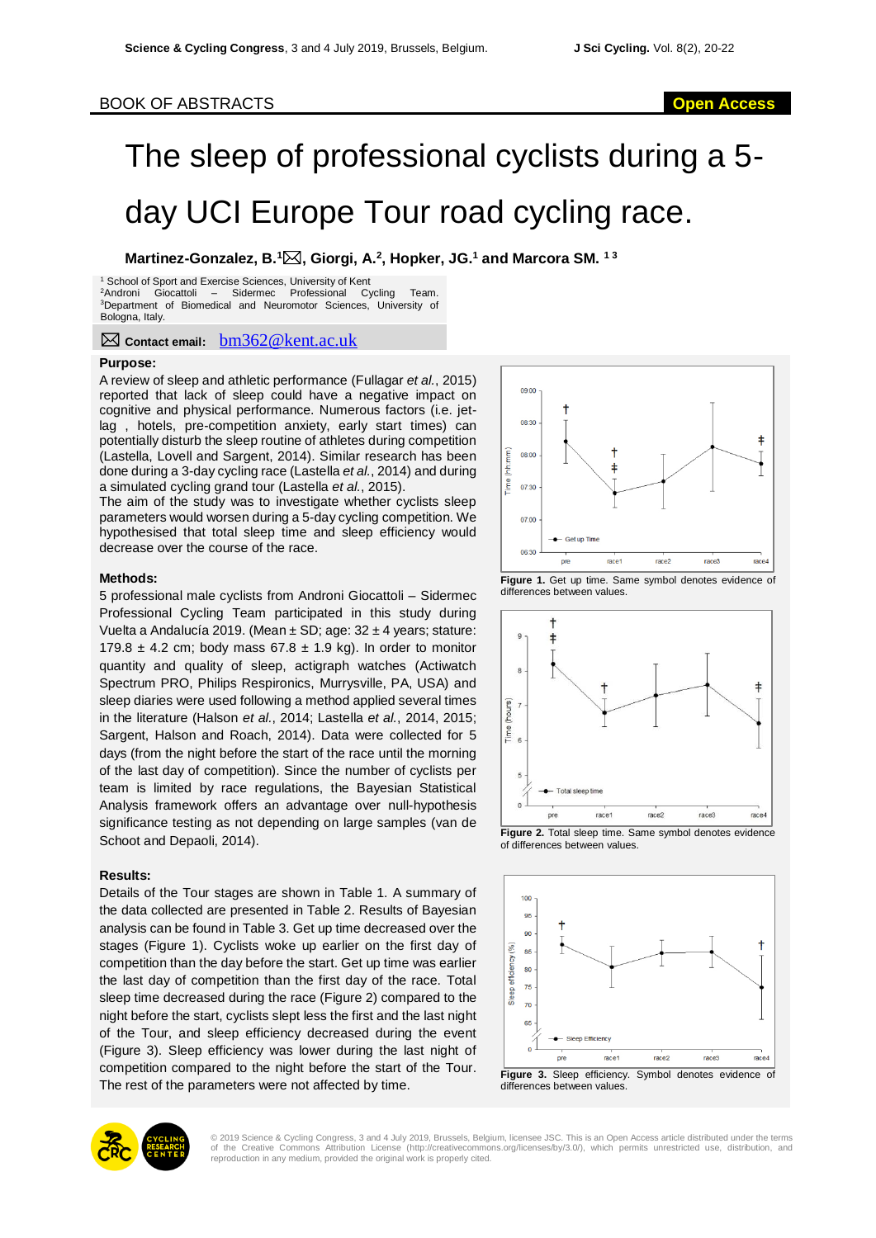## BOOK OF ABSTRACTS **Open Access**

# The sleep of professional cyclists during a 5 day UCI Europe Tour road cycling race.

**Martinez-Gonzalez, B.<sup>1</sup>, Giorgi, A.<sup>2</sup> , Hopker, JG.<sup>1</sup> and Marcora SM. 1 3**

<sup>1</sup> School of Sport and Exercise Sciences, University of Kent  ${}^{2}$ Androni Giocattoli – Sidermec Professional Cy Sidermec Professional Cycling Team. <sup>3</sup>Department of Biomedical and Neuromotor Sciences, University of Bologna, Italy.

**Contact email:** bm362@kent.ac.uk

#### **Purpose:**

A review of sleep and athletic performance (Fullagar *et al.*, 2015) reported that lack of sleep could have a negative impact on cognitive and physical performance. Numerous factors (i.e. jetlag , hotels, pre-competition anxiety, early start times) can potentially disturb the sleep routine of athletes during competition (Lastella, Lovell and Sargent, 2014). Similar research has been done during a 3-day cycling race (Lastella *et al.*, 2014) and during a simulated cycling grand tour (Lastella *et al.*, 2015).

The aim of the study was to investigate whether cyclists sleep parameters would worsen during a 5-day cycling competition. We hypothesised that total sleep time and sleep efficiency would decrease over the course of the race.

#### **Methods:**

5 professional male cyclists from Androni Giocattoli – Sidermec Professional Cycling Team participated in this study during Vuelta a Andalucía 2019. (Mean ± SD; age: 32 ± 4 years; stature: 179.8  $\pm$  4.2 cm; body mass 67.8  $\pm$  1.9 kg). In order to monitor quantity and quality of sleep, actigraph watches (Actiwatch Spectrum PRO, Philips Respironics, Murrysville, PA, USA) and sleep diaries were used following a method applied several times in the literature (Halson *et al.*, 2014; Lastella *et al.*, 2014, 2015; Sargent, Halson and Roach, 2014). Data were collected for 5 days (from the night before the start of the race until the morning of the last day of competition). Since the number of cyclists per team is limited by race regulations, the Bayesian Statistical Analysis framework offers an advantage over null-hypothesis significance testing as not depending on large samples (van de Schoot and Depaoli, 2014).

### **Results:**

Details of the Tour stages are shown in Table 1. A summary of the data collected are presented in Table 2. Results of Bayesian analysis can be found in Table 3. Get up time decreased over the stages (Figure 1). Cyclists woke up earlier on the first day of competition than the day before the start. Get up time was earlier the last day of competition than the first day of the race. Total sleep time decreased during the race (Figure 2) compared to the night before the start, cyclists slept less the first and the last night of the Tour, and sleep efficiency decreased during the event (Figure 3). Sleep efficiency was lower during the last night of competition compared to the night before the start of the Tour. The rest of the parameters were not affected by time.



**Figure 1.** Get up time. Same symbol denotes evidence of differences between values.



of differences between values.





© 2019 Science & Cycling Congress, 3 and 4 July 2019, Brussels, Belgium, licensee JSC. This is an Open Access article distributed under the terms<br>of the Creative Commons Attribution License (http://creativecommons.org/lice reproduction in any medium, provided the original work is properly cited.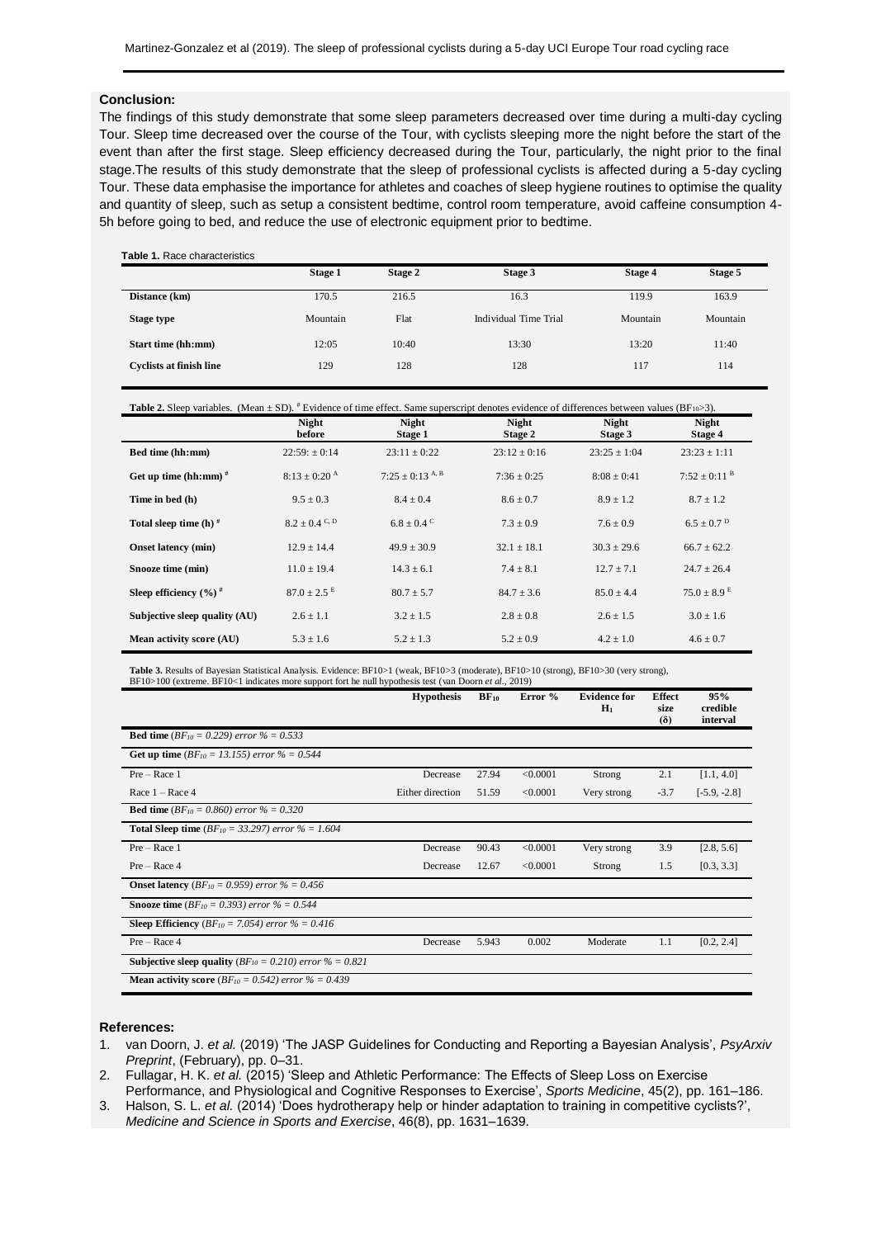#### **Conclusion:**

The findings of this study demonstrate that some sleep parameters decreased over time during a multi-day cycling Tour. Sleep time decreased over the course of the Tour, with cyclists sleeping more the night before the start of the event than after the first stage. Sleep efficiency decreased during the Tour, particularly, the night prior to the final stage.The results of this study demonstrate that the sleep of professional cyclists is affected during a 5-day cycling Tour. These data emphasise the importance for athletes and coaches of sleep hygiene routines to optimise the quality and quantity of sleep, such as setup a consistent bedtime, control room temperature, avoid caffeine consumption 4- 5h before going to bed, and reduce the use of electronic equipment prior to bedtime.

| <b>Table 1. Race characteristics</b> |  |  |  |  |  |  |
|--------------------------------------|--|--|--|--|--|--|
|--------------------------------------|--|--|--|--|--|--|

|                                | Stage 1  | Stage 3<br>Stage 2 |                       | Stage 4  | Stage 5  |
|--------------------------------|----------|--------------------|-----------------------|----------|----------|
| Distance (km)                  | 170.5    | 216.5              | 16.3                  | 119.9    | 163.9    |
| <b>Stage type</b>              | Mountain | Flat               | Individual Time Trial | Mountain | Mountain |
| Start time (hh:mm)             | 12:05    | 10:40              | 13:30                 | 13:20    | 11:40    |
| <b>Cyclists at finish line</b> | 129      | 128                | 128                   | 117      | 114      |

| <b>Table 2.</b> Sleep variables. (Mean $\pm$ SD). <sup>#</sup> Evidence of time effect. Same superscript denotes evidence of differences between values (BF <sub>10</sub> >3). |         |                |                |              |  |  |
|--------------------------------------------------------------------------------------------------------------------------------------------------------------------------------|---------|----------------|----------------|--------------|--|--|
| Night                                                                                                                                                                          | Night   | Night          | Night          | <b>Night</b> |  |  |
| before                                                                                                                                                                         | Stage 1 | <b>Stage 2</b> | <b>Stage 3</b> | Stage 4      |  |  |

|                                                | <u>vuvit</u>              | Duge 1                   | $\cup$ <b>uge</b> | <b>Diage</b> J   | $\sum_{i=1}^{n}$          |
|------------------------------------------------|---------------------------|--------------------------|-------------------|------------------|---------------------------|
| Bed time (hh:mm)                               | $22:59: \pm 0.14$         | $23:11 \pm 0:22$         | $23:12 \pm 0:16$  | $23:25 \pm 1:04$ | $23:23 \pm 1:11$          |
| Get up time (hh:mm) $#$                        | $8:13 + 0:20^{\text{A}}$  | $7:25+0:13^{A,B}$        | $7:36 + 0:25$     | $8:08 + 0:41$    | $7:52 + 0:11^{B}$         |
| Time in bed (h)                                | $9.5 \pm 0.3$             | $8.4 + 0.4$              | $8.6 + 0.7$       | $8.9 \pm 1.2$    | $8.7 + 1.2$               |
| Total sleep time $(h)$ <sup>#</sup>            | $8.2 \pm 0.4$ C, D        | $6.8 + 0.4$ <sup>C</sup> | $7.3 + 0.9$       | $7.6 \pm 0.9$    | $6.5 + 0.7$ <sup>D</sup>  |
| <b>Onset latency</b> (min)                     | $12.9 \pm 14.4$           | $49.9 \pm 30.9$          | $32.1 \pm 18.1$   | $30.3 \pm 29.6$  | $66.7 + 62.2$             |
| Snooze time (min)                              | $11.0 + 19.4$             | $14.3 + 6.1$             | $7.4 + 8.1$       | $12.7 + 7.1$     | $24.7 + 26.4$             |
| Sleep efficiency $(\frac{6}{6})^{\frac{1}{4}}$ | $87.0 + 2.5$ <sup>E</sup> | $80.7 + 5.7$             | $84.7 + 3.6$      | $85.0 + 4.4$     | $75.0 + 8.9$ <sup>E</sup> |
| Subjective sleep quality (AU)                  | $2.6 + 1.1$               | $3.2 + 1.5$              | $2.8 \pm 0.8$     | $2.6 + 1.5$      | $3.0 + 1.6$               |
| Mean activity score (AU)                       | $5.3 \pm 1.6$             | $5.2 \pm 1.3$            | $5.2 \pm 0.9$     | $4.2 \pm 1.0$    | $4.6 \pm 0.7$             |

Table 3. Results of Bayesian Statistical Analysis. Evidence: BF10>1 (weak, BF10>3 (moderate), BF10>10 (strong), BF10>30 (very strong),<br>BF10>100 (extreme. BF10<1 indicates more support fort he null hypothesis test (van Door

|                                                                               | <b>Hypothesis</b> | $BF_{10}$ | Error %  | <b>Evidence for</b><br>$H_1$ | <b>Effect</b><br>size<br>$(\delta)$ | 95%<br>credible<br>interval |
|-------------------------------------------------------------------------------|-------------------|-----------|----------|------------------------------|-------------------------------------|-----------------------------|
| <b>Bed time</b> ( $BF_{10} = 0.229$ ) error % = 0.533                         |                   |           |          |                              |                                     |                             |
| <b>Get up time</b> ( $BF_{10} = 13.155$ ) error % = 0.544                     |                   |           |          |                              |                                     |                             |
| $Pre - Race 1$                                                                | Decrease          | 27.94     | < 0.0001 | Strong                       | 2.1                                 | [1.1, 4.0]                  |
| Race $1 -$ Race 4                                                             | Either direction  | 51.59     | < 0.0001 | Very strong                  | $-3.7$                              | $[-5.9, -2.8]$              |
| <b>Bed time</b> ( $BF_{10} = 0.860$ ) error % = 0.320                         |                   |           |          |                              |                                     |                             |
| <b>Total Sleep time</b> ( $BF_{10} = 33.297$ ) error % = 1.604                |                   |           |          |                              |                                     |                             |
| $Pre - Race 1$                                                                | Decrease          | 90.43     | < 0.0001 | Very strong                  | 3.9                                 | [2.8, 5.6]                  |
| $Pre - Race 4$                                                                | Decrease          | 12.67     | < 0.0001 | Strong                       | 1.5                                 | [0.3, 3.3]                  |
| <b>Onset latency</b> ( $BF_{10} = 0.959$ ) error % = 0.456                    |                   |           |          |                              |                                     |                             |
| <b>Snooze time</b> ( $BF_{10} = 0.393$ ) error % = 0.544                      |                   |           |          |                              |                                     |                             |
| <b>Sleep Efficiency</b> ( <i>BF</i> <sub>10</sub> = 7.054) error $\%$ = 0.416 |                   |           |          |                              |                                     |                             |
| Pre - Race 4                                                                  | Decrease          | 5.943     | 0.002    | Moderate                     | 1.1                                 | [0.2, 2.4]                  |
| <b>Subjective sleep quality</b> ( $BF_{10} = 0.210$ ) error % = 0.821         |                   |           |          |                              |                                     |                             |
| <b>Mean activity score</b> ( $BF_{10} = 0.542$ ) error % = 0.439              |                   |           |          |                              |                                     |                             |

#### References: All and the state of the state of the state of the state of the state of the state of the state of the state of the state of the state of the state of the state of the state of the state of the state of the sta

1. van Doorn, J. *et al.* (2019) 'The JASP Guidelines for Conducting and Reporting a Bayesian Analysis', *PsyArxiv Preprint*, (February), pp. 0–31.

2. Fullagar, H. K. *et al.* (2015) 'Sleep and Athletic Performance: The Effects of Sleep Loss on Exercise Performance, and Physiological and Cognitive Responses to Exercise', *Sports Medicine*, 45(2), pp. 161–186.

3. Halson, S. L. *et al.* (2014) 'Does hydrotherapy help or hinder adaptation to training in competitive cyclists?', *Medicine and Science in Sports and Exercise*, 46(8), pp. 1631–1639.